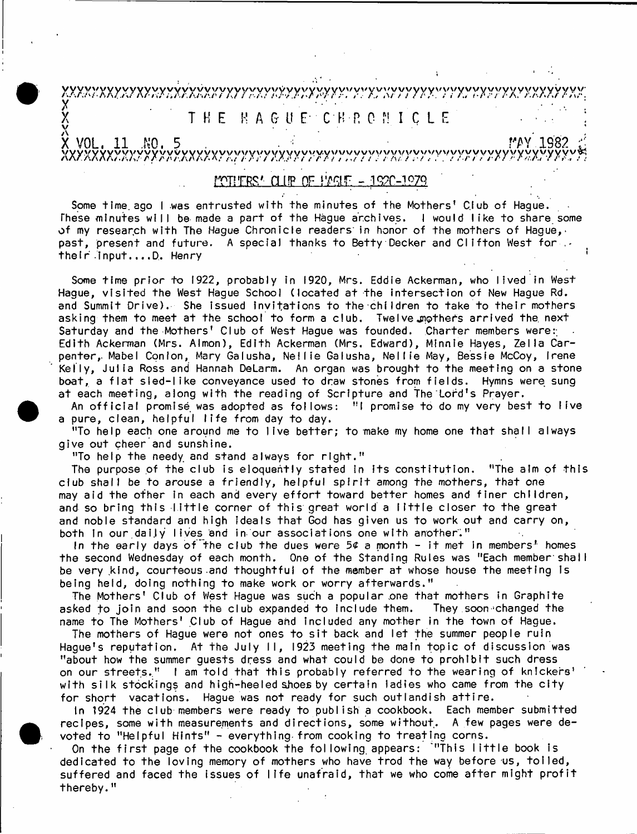## *yiyxYyxyyjxy^xyyyjxryyyryyr/.yynyy~yyy:T7rAyyyyyy'7yyyyyyrYxyxny.Yy'!{y:*  $\mathsf X$  . Hence, and a set of a set of a set of a set of a set of a set of a set of a set of a set of a set of a set of a set of a set of a set of a set of a set of a set of a set of a set of a set of a set of a set of a s  $\texttt{T}$  **H** E  $\texttt{R}$  **A** G U E  $\texttt{C}$  C H R C M I C L E  $\mathbf{V}$  . The contract of the contract of the contract of the contract of the contract of the contract of the contract of the contract of the contract of the contract of the contract of the contract of the contract of th

<span id="page-0-0"></span>**X VOL. 11 NO. 5** *m* **.1982** *i* XXXXXXXW yXXXX?XXyyXyv V Y V Y X y y y v y y 5 /v v v y y v y y v y v w v y v y y v v v y y y y y v Xv.yyYv«

## **f'CTiTRs1' h i ip of [w a r - .ic?r-.iP79 '](#page-0-0)**

Some time ago I was entrusted with the minutes of the Mothers' Club of Hague. These minutes will be made a part of the Hague archives. I would like to share some of my research with The Hague Chronicle readers in honor of the mothers of Hague,. past, present and future. A special thanks to Betty Decker and Clifton West for  $\cdots$ the ir Input....D. Henry

Some time prior to 1922, probably in 1920, Mrs. Eddie Ackerman, who lived in West Hague, visited the West Hague School (located at the intersection of New Hague Rd. and Summit Drive). She issued invitations to the children to take to their mothers asking them to meet at the school to form a club. Twelve mothers arrived the next Saturday and the Mothers' Club of West Hague was founded. Charter members were: Edith Ackerman (Mrs. Almon), Edith Ackerman (Mrs. Edward), Minnie Hayes, Zella Carpenter, Mabel Conion, Mary Galusha, Nellie Galusha, Nellie May, Bessie McCoy, Irene Kelly, Julia Ross and Hannah DeLarm. An organ was brought to the meeting on a stone boat, a flat sied-like conveyance used to draw stones from fields. Hymns were sung at each meeting, along with the reading of Scripture and The Lord's Prayer.

An official promise was adopted as follows: "I promise to do my very best to live a pure, clean, helpful life from day to day.

"To help each one around me to live better; to make my home one that shall always give out cheer and sunshine.

"To help the needy and stand always for right."

The purpose of the club is eloquently stated in its constitution. "The aim of this club shall be to arouse a friendly, helpful spirit among the mothers, that one may aid the ofher in each and every effort toward better homes and finer children, and so bring this little corner of this great world a little closer to the great and noble standard and high Ideals that God has given us to work out and carry on, both In our daily lives and in our associations one with another."

In the early days of the club the dues were  $5¢$  a month - it met in members' homes the second Wednesday of each month. One of the Standing Rules was "Each member shall be very kind, courteous and thoughtful of the member at whose house the meeting Is being held, doing nothing to make work or worry afterwards."

The Mothers' Club of West Hague was such a popular one that mothers in Graphite asked to join and soon the club expanded to include them. They soon changed the name to The Mothers' Club of Hague and included any mother in the town of Hague.

The mothers of Hague were not ones to sit back and let the summer people ruin Hague's reputation. At the July II, 1923 meeting the main topic of discussion was "about how the summer guests dress and what could be done to prohibit such dress on our streets." I am told that this probably referred to the wearing of knickers' with silk stockings and high-heeled shoes by certain ladies who came from the city for short vacations. Hague was not ready for such outlandish attire.

In 1924 the club members were ready to publish a cookbook. Each member submitted recipes, some with measurements and directions, some without. A few pages were devoted to "Helpful Hints" - everything from cooking to treating corns.

On the first page of the cookbook the following appears: '"This little book is dedicated to the loving memory of mothers who have trod the way before us, tolled, suffered and faced the issues of life unafraid, that we who come after might profit thereby."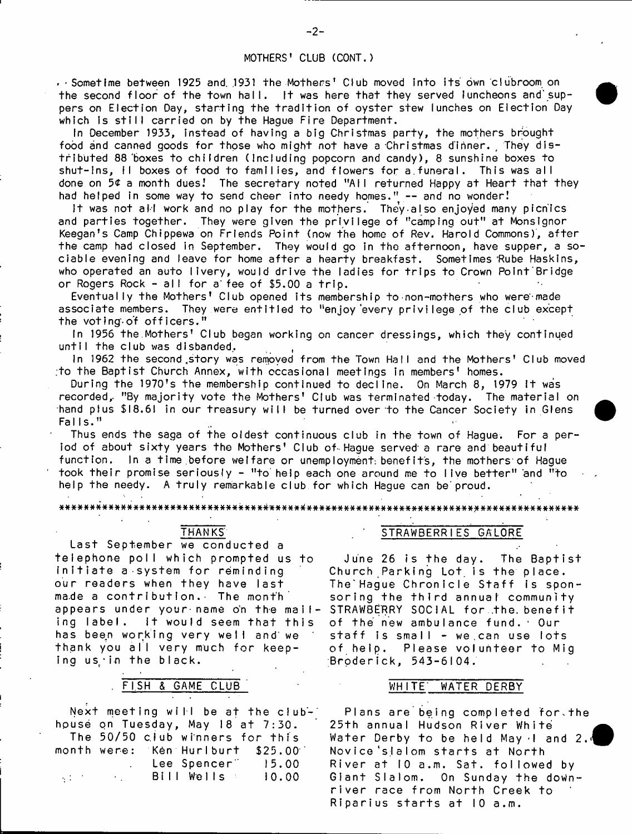## MOTHERS' CLUB CCONT.)

- Sometime between 1925 and 1931 the Mothers' Club moved into its own clubroom on the second floor of the town hall. It was here that they served luncheons and suppers on Election Day, starting the tradition of oyster stew lunches on Election Day which is still carried on by the Hague Fire Department.

In December 1933, instead of having a big Christmas party, the mothers brought food and canned goods for those who might not have a Christmas dinner. They distributed 88 boxes to children (Including popcorn and candy), 8 sunshine boxes to shut-ins, II boxes of food to families, and flowers for a funeral. This was all done on 5¢ a month dues! The secretary noted "AII returned Happy at Heart that they had helped in some way to send cheer into needy homes." -- and no wonder!

It was not all work and no play for the mothers. They also enjoyed many picnics and parties together. They were given the privilege of "camping out" at Monsignor Keegan's Camp Chippewa on Friends Point (now the home of Rev. Harold Commons), after the camp had closed in September. They would go in the afternoon, have supper, a sociable evening and leave for home after a hearty breakfast. Sometimes Rube Haskins, who operated an auto livery, would drive the ladies for trips to Crown Point Bridge or Rogers Rock - all for a fee of \$5.00 a trip.

Eventually the Mothers' Club opened its membership to non-mothers who were made associate members. They were entitled to "enjoy every privilege of the club except the voting of officers."

In 1956 the Mothers' Club began working on cancer dressings, which they continued until the club was disbanded.

In 1962 the second story was removed from the Town Hall and the Mothers' Club moved :to the Baptist Church Annex, with occasional meetings in members' homes.

During the 1970's the membership continued to decline. On March 8, 1979 it was recorded, "By majority vote the Mothers' Club was terminated today. The material on hand plus \$l8.6! in our treasury will be turned over to the Cancer Society in Glens Falls."

Thus ends the saga of the oldest continuous club in the town of Hague. For a period of about sixty years the Mothers' Club of Hague served a rare and beautiful function. In a time before welfare or unemployment benefits, the mothers of Hague took their promise seriously - "to help each one around me to live better" and "to help the needy. A truly remarkable club for which Hague can be proud.

#### \*#\*###\*\*\*\*#######\*##\*\*\*#\*#\*##\*\*\*\*##\*\*#\*\*(#\*###########\*###\*################\*\*\*######\*

## THANKS'

Last September we conducted a te le p h o n e poll which prom pted us to initiate a system for reminding our readers when they have last ma.de a contribution. The month appears under your name on the mailing label. it would seem that this has been working very well and we thank you all very much for keeping us in the black.

## FISH & GAME CLUB WHITE' WATER DERBY

Next meeting will be at the clubhouse on Tuesday, May 18 at 7:30. The 50/50 c.lub winners for this month were: Ken Hurlburt \$25.00 Lee Spencer" 15.00 B i l l W e l l s I 0 . 0 0  $\sim$   $^{\prime}$ 

#### STRAWBERRIES GALORE

June 26 is the day. The Baptist Church Parking Lot is the place. The'Hague Chronicle Staff is sponsoring the third annual community STRAWBERRY SOCIAL for the benefit of the new ambulance fund. Our staff is small  $-$  we can use lots of help. Please volunteer to Mig Broderick, 543-6104.

Plans are being completed for.the 25th annual Hudson River White Water Derby to be held May  $\cdot$ 1 and 2. Novice 'slalom starts at North River at 10 a.m. Sat. followed by Glant Slalom. On Sunday the downriver race from North Creek to Riparius starts at 10 a.m.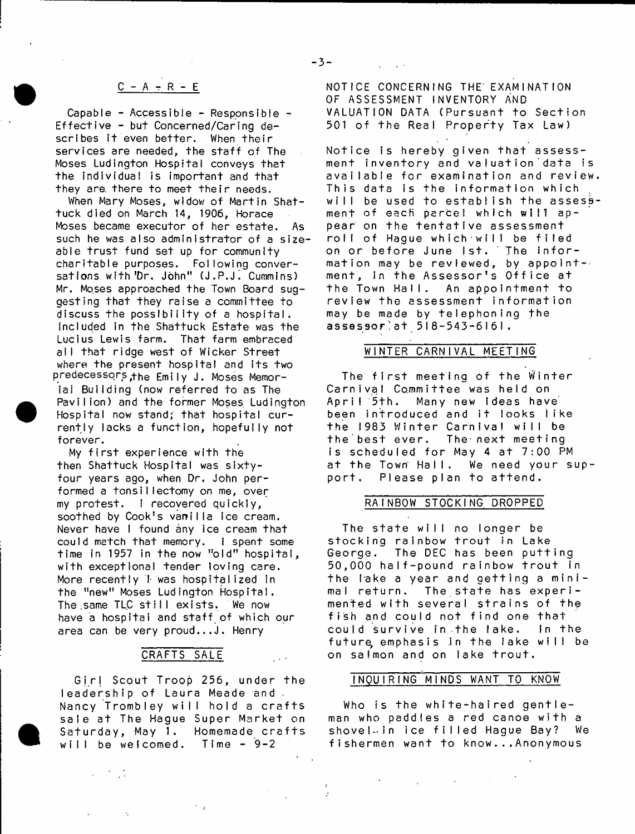## $C - A - R - E$

Capable - Accessible - Responsible - Effective - but Concerned/Caring describes it even better. When their services are needed, the staff of The Moses Ludington Hospital conveys that the individual is important and that they are there to meet their needs.

When Mary Moses, widow of Martin Shattuck died on March 14, 1906, Horace Moses became executor of her estate. As such he was also administrator of a sizeable trust fund set up for community charitable purposes. Following conversations with 'Dr. John" (J.P.J. Cummins) Mr. Moses approached the Town Board suggesting that they raise a committee to discuss the possibility of a hospital. Included in the Shattuck Estate was the Lucius Lewis farm. That farm embraced all that ridge west of Wicker Street where the present hospital and its two predecessors^fhe Emily J. Moses Memorial Building (now referred to as The Pavilion) and the former Moses Ludington Hospital now stand; that hospital currently lacks a function, hopefully not forever.

My first experience with the then Shattuck Hospital was sixtyfour years ago, when Dr. John performed a tonsillectomy on me, over my protest. I recovered quickly, soothed by Cook's vanilla ice cream. Never have I found any ice cream that could match that memory. I spent some time in 1957 in the now "old" hospital, with exceptional tender loving care. More recently I was hospitalized in the "new" Moses Ludington Hospital. The same TLC still exists. We now have a hospital and staff of which our area can be very proud... $J$ . Henry

## CRAFTS SALE

 $\sim$   $\sim$ 

Girl Scout Troop 256, under the leadership of Laura Meade and. Nancy Trombley will hold a crafts sale at The Hague Super Market on Saturday, May 1. Homemade crafts will be welcomed. Time  $-9-2$ 

NOTICE CONCERNING THE' EXAMINATION OF ASSESSMENT INVENTORY AND VALUATION DATA (Pursuant to Section 501 of the Real Property Tax Law)

Notice is hereby given that assessment inventory and valuation data is available for examination and review. This data is the information which will be used to establish the assessment of each parcel which will appear on the tentative assessment roll of Haque which will be filed on or before June 1st. The information may be reviewed, by appoint- $\cdot$ ment, in the Assessor's Office at the Town Hall. An appointment to review the assessment information may be made by telephoning the assessor!at 518-543-6161.

#### WINTER CARNIVAL MEETING

The first meeting of the Winter Carnival Committee was held on<br>April 5th. Many new Ideas hav Many new ideas have been introduced and it looks like the 1983 Winter Carnival will be<br>the best ever. The next meeting The next meeting is scheduled for May 4 at  $7:00$  PM at the Town Hall. We need your support. Please plan to attend.

#### RAINBOW STOCKING DROPPED

The state will no longer be stocking rainbow trout in Lake George. The DEC has been putting 50,000 half-pound rainbow trout in the lake a year and getting a minimal return. The state has experimented with several strains of the fish and could not find one that could survive in the lake. In the future emphasis in the lake will be on salmon and on lake trout.

#### INQUIRING MINDS WANT TO KNOW

Who is the white-haired gentleman who paddles a red canoe with a shovel-in ice filled Hague Bay? We fishermen want to know...Anonymous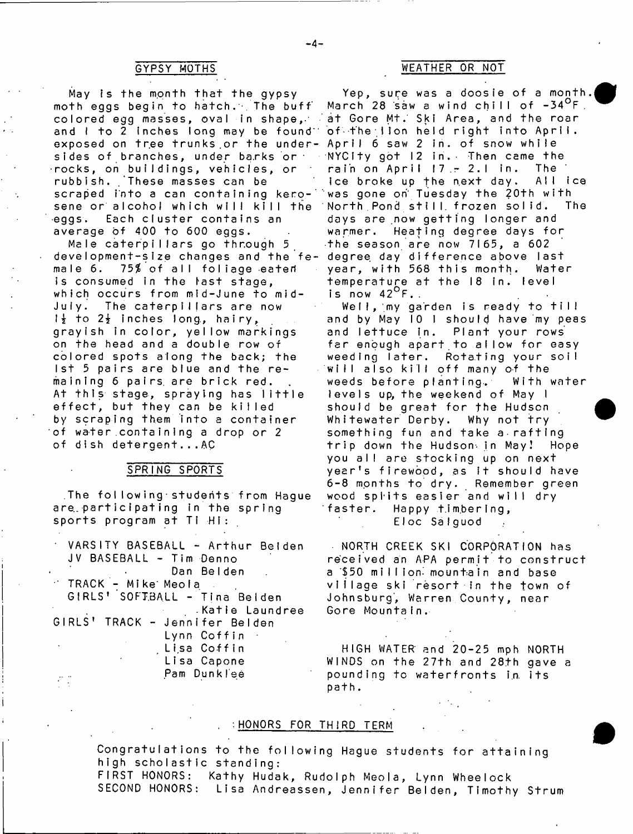## GYPSY MOTHS

May is the month that the gypsy moth eggs begin to hatch. The buff co lo re d egg masses, oval in shape,-' and  $l$  to  $2$  inches long may be found  $\ddot{\phantom{a}}$ exposed on tree trunks or the undersides of branches, under barks or • r o c k s , on b u i l d i n g s , v e h i c l e s , o r rubbish. These masses can be scraped into a can containing kerosene or alcohol which will kill the eggs. Each cluster contains an average of 400 to 600 eggs.

Male caterpillars go through 5 development-size changes and the female  $6.$   $75\%$  of all foliage eaten is consumed in the last stage, which occurs from mid-June to mid-July. The caterpillars are now  $1\frac{1}{2}$  to  $2\frac{1}{2}$  inches long, hairy, grayish in color, yellow markings on the head and a double row of colored spots along the back; the 1st 5 pairs are blue and the remaining 6 pairs are brick red. At this stage, spraying has little effect, but they can be killed by scraping them into a container of water containing a drop or 2 of dish detergent...AC

#### SPRING SPORTS

The following students from Hague are participating in the spring sports program at Ti Hi:

| VARSITY BASEBALL - Arthur Beiden |
|----------------------------------|
| JV BASEBALL - Tim Denno          |
| Dan Belden                       |
| " TRACK - Mike Meola .           |
| GIRLS' SOFTBALL - Tina Belden    |
| .Katie Laundree                  |
| GIRLS' TRACK - Jennifer Belden   |
| Lynn Coffin                      |
| Lisa Coffin                      |
| Lisa Capone                      |
| Pam Dunklee                      |
|                                  |

## WEATHER OR NOT

Yep, sure was a doosie of a month. March 28 saw a wind chill of  $-34^{\circ}$ F. at Gore Mt. Ski Area, and the roar of the lion held right into April. April 6 saw 2 in. of snow while NYCIty got  $12$  in. Then came the rain on April  $17 - 2$ .1 in. The ice broke up the next day. All ice was gone on' Tuesday the 20th with North Pond still frozen solid. The days are now getting longer and warmer. Heating degree days for the season are now  $7165$ , a  $602$ degree day difference above last year, with 568 this month. Water temperature at the 18 in. level is now  $42^{\circ}$  F..

Well, my garden is ready to till and by May 10 1 should have my peas and lettuce in. Plant your rows far enough apart to allow for easy weeding later. Rotating your soil will also kill off many of the weeds before planting. With water levels up, the weekend of May I should be great for the Hudson Whitewater Derby. Why not try something fun and take a rafting trip down the Hudson<sub>'</sub> in May! Hope you all are stocking up on next year's firewood, as it should have 6-8 months to dry. Remember green wood spiits easier and will dry faster. Happy timbering, EIoc SaIguod

NORTH CREEK SKI CORPORATION has received an APA permit to construct a \$50 mi I I ion- mountain and base viilage ski resort in the town of Johnsburg, Warren County, near Gore MountaIn.

HIGH WATER' and 20-25 mph NORTH WINDS on the 27th and 28th gave a pounding to waterfronts in its path.

## HONORS FOR THIRD TERM

Congratulations to the following Hague students for attaining high scholastic standing: FIRST HONORS: Kathy Hudak, Rudolph Meola, Lynn Wheelock SECOND HONORS: Lisa Andreassen, Jennifer Belden, Timothy Strum

\_4-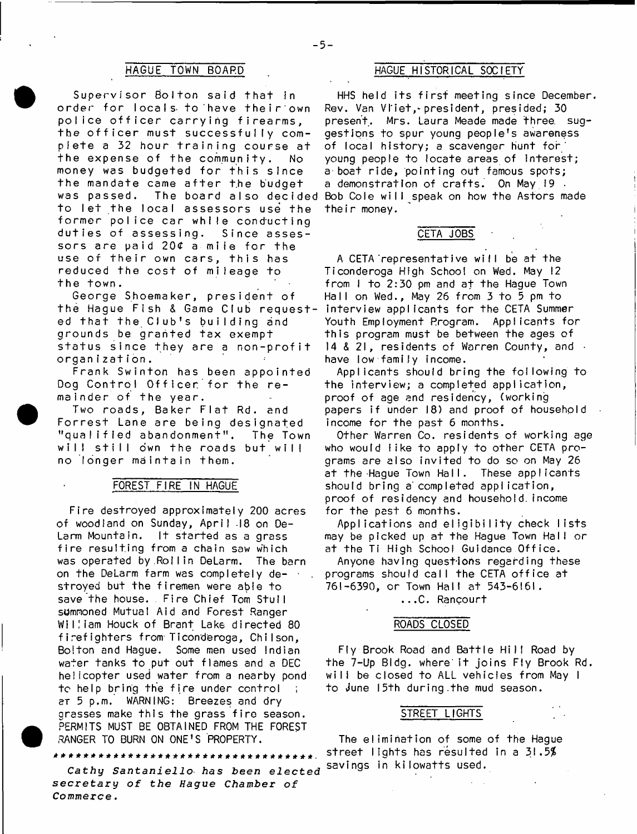Supervisor Bolton said that in order for locals to have their own police officer carrying firearms, the officer must successfully complete a 32 hour training course at the expense of the community. No money was budgeted for this since the mandate came after the budget to let the local assessors use the former police car while conducting duties of assessing. Since assessors are paid  $20<sup>c</sup>$  a mile for the use of their own cars, this has reduced the cost of mileage to the town.

George Shoemaker, president of the Hague Fish & Game Club requested that the Club's building and grounds be granted tax exempt status since they are a non-profit organization.

Frank Swinton has been appointed Dog Control Officer for the remainder of the year.

Two roads, Baker Flat Rd. and F orrest Lane are being designated "qualified abandonment". The Town will still own the roads but will no longer maintain them.

#### FOREST FIRE IN HAGUE

Fire destroyed approximately 200 acres of woodland on Sunday, April 18 on De-Larm Mountain. It started as a grass fire resulting from a chain saw which was operated by.Rollin DeLarm. The barn on the DeLarm farm was completely destroyed but the firemen were able to save the house. Fire Chief Tom Stull summoned Mutual Aid and Forest Ranger William Houck of Brant Lake directed 80 firefighters from Ticonderoga, Chilson, Bolton and Hague. Some men used Indian water tanks to put out flames and a DEC he licopter used water from a nearby pond to help bring the fire under control aT 5 p.m. WARNING: Breezes and dry grasses make this the grass fire season. PERMITS MUST BE OBTAINED FROM THE FOREST RANGER TO BURN ON ONE'S PROPERTY.

\*\*\*\*\*\*\*\*\*\*\*\*\*\*\*\*\*\*\*\*\*\*\*\*\* **Cathy** *Santaniello has been elected secretary of the Hague Chamber of*

*Commerce* **.**

### HAGUE TOWN BOARD HAGUE HISTORICAL SOCIETY

was passed. The board also decided Bob Cole will speak on how the Astors made HHS held its first meeting since December. Rev. Van Vliet, president, presided; 30 present. Mrs. Laura Meade made three, suggestions to spur young people's awareness of local history; a scavenger hunt for young people to locate areas of interest; a boat ride, pointing out famous spots; a demonstration of crafts. On May 19. their money.

#### CETA JOBS

A CETA representative will be at the Ticonderoga High School on Wed. May 12 from  $I$  to 2:30 pm and at the Hague Town Hall on Wed., May 26 from 3 to 5 pm to interview applicants for the CETA Summer Youth Employment Program. Applicants for this program must be between the ages of 14 & 21, residents of Warren County, and • have low family income.

Applicants should bring the following to the interview; a completed application, proof of age and residency, (working papers if under 18) and proof of household income for the past 6 months.

Other Warren Co. residents of working age who would like to apply to other CETA programs are also invited to do so on May 26 at the Hague Town Hall. These applicants should bring a' completed application, proof of residency and household, income for the past 6 months.

Applications and eligibility check lists may be picked up at the Hague Town Hall or at the Ti High School Guidance Office.

Anyone having questions regarding these programs should call the CETA office at 761-6390, or Town Hall at 543-6161.

...C. Rancourt

#### ROADS CLOSED

Fly Brook Road and Battle Hill Road by the 7-Up Bidg. where it joins Fly Brook Rd. will be closed to ALL vehicles from May I to june 15th during the mud season.

#### STREET LIGHTS

The elimination of some of the Hague street lights has resulted in a  $31.5%$ savings in kilowatts used.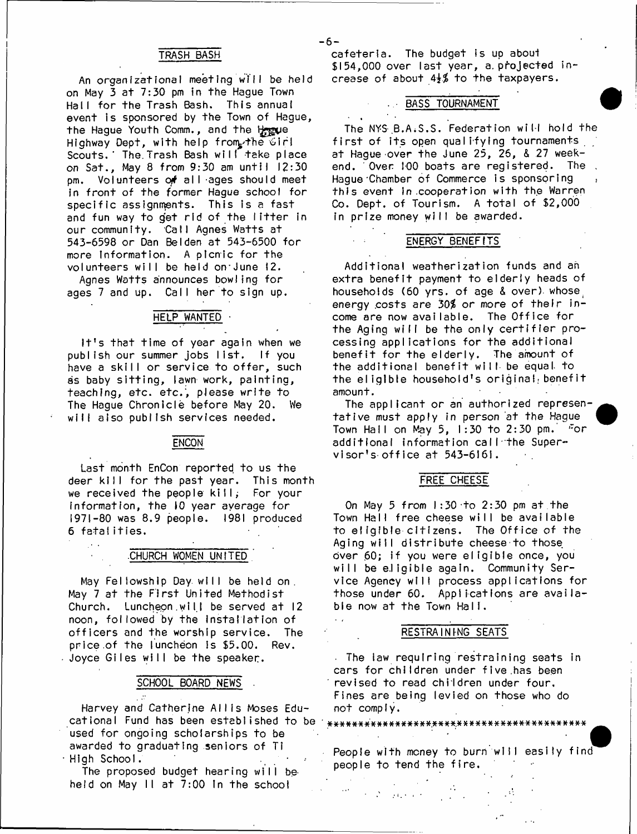### TRASH BASH

An organizational meeting will be held on May 3 at 7:30 pm in the Haque Town Hall for the Trash Bash. This annual event is sponsored by the Town of Hague, the Hague Youth Comm., and the Hegue Highway Dept, with help from the Girl Scouts.' The Trash Bash will take place on Sat., May 8 from 9:30 am until 12:30 pm. Volunteers of all ages should meet in front of the former Hague school for specific assignments. This is a fast and fun way to get rid of the litter in our community. Call Agnes Watts at 543-6598 or Dan Belden at 543-6500 for more Information. A picnic for the volunteers will be held on' June 12.

Agnes Watts announces bowling for ages 7 and up. Call her to sign up.

## HELP WANTED ·

It's that time of year again when we publish our summer jobs list. If you have a skill or service to offer, such as baby sitting, lawn work, painting, teaching, etc. etc., please write to The Hague Chronicle before May 20. We will also publish services needed.

#### **ENCON**

Last month EnCon reported to us the deer kill for the past year. This month we received the people kill; For your information, the  $10$  year average for 1971-80 was 8.9 people. 1981 produced 6 fatalities.

#### CHURCH WOMEN UNITED

May Fellowship Day will be held on. May 7 at the First United Methodist Church. Luncheon.will be served at 12 noon, followed by the installation of officers and the worship service. The price of the luncheon is \$5.00. Rev. Joyce Giles will be the speaker.

#### SCHOOL BOARD NEWS

Harvey and Catherine Allis Moses Educ a tio n a l Fund has been e sta b lish e d to be \*#\*\*\*#\*\*#\*\*\*##\*#\*\*\*#\*.####\*\*\*#\*\*\*#\*\*\*\*\*##\*\* used for ongoing scholarships to be awarded to graduating seniors of Ti  $\, \cdot \,$  High School.

The proposed budget hearing will beheld on May II at 7:00 In the school

cafeterla. The budget is up about  $$154,000$  over last year, a projected increase of about  $4\frac{1}{2}\frac{3}{2}$  to the taxpayers.

 $-6-$ 

#### BASS TOURNAMENT

The NY&.B.AiS.S. Federation will hold the first of its open qualifying tournaments at Hague over the June 25, 26,  $& 27$  weekend. Over 100 boats are registered. The Haque Chamber of Commerce is sponsoring this event in .cooperation with the Warren Co. Dept. of Tourism. A total of \$2,000 in prize money will be awarded.

#### ENERGY BENEFITS

Additional weatherization funds and an extra benefit payment to elderly heads of households (60 yrs. of age & over) whose, energy costs are 30% or more of their income are now available. The Office for the Aging will be the only certifier processing applications for the additional benefit for the elderly. The amount of the additional benefit will be equal, to the eligible household's original, benefit amount.

The applicant or an authorized representative must apply in person at the Hague Town Hall on May 5, 1:30 to 2:30 pm. For additional information call"the Supervisor's office at  $543-6161$ .

### FREE CHEESE

On May 5 from  $1:30$  to  $2:30$  pm at the Town Hall free cheese will be available to eligible citizens. The Office of the Aging will distribute cheese to those over 60; if you were eligible once, you will be eligible again. Community Service Agency will process applications for those under 60. Applications are available now at the Town Hall.

#### RESTRAINING SEATS

The law requiring restraining seats in cars for children under five has been revised to read children under four. Fines are being levied on those who do not comply.

Ņ People with money to burn will easily find people to tend the fire.

 $\mathcal{L}^{\mathcal{L}}(\mathbf{z})$  . Then

**Contractor**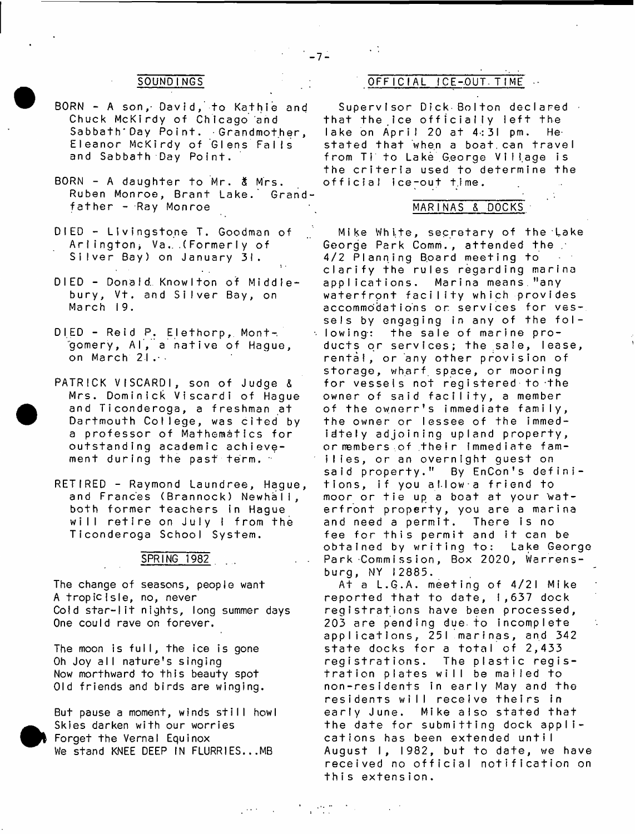- BORN A son,- David, to Kathie and Chuck McKirdy of Chicago and Sabbath'Day Point. Grandmother, Eleanor McKirdy of Glens Falls and Sabbath Day Point.
- BORN A daughter to Mr.  $\delta$  Mrs. Ruben Monroe, Brant Lake. Grand $f$ ather - Ray Monroe
- DIED Livingstone T. Goodman of Arlington, Va. . (Formerly of Silver Bay) on January 31.
- DIED Donald Knowlton of Middlebury, Vt. and Silver Bay, on March 19.
- DIED Reid P. Elethorp, Montgomery, Al, a native of Hague, on March 21.
- PATRICK VISCARDI, son of Judge & Mrs. Dominick Viscardi of Haque and Ticonderoga, a freshman at Dartmouth College, was cited by a professor of Mathematics for outstanding academic achievement during the past term. -
- RETIRED Raymond Laundree, Hague, and Frances (Brannock) Newhall, both former teachers in Hague will retire on July I from the Ticonderoga School System.

## SPRING 1982

The change of seasons, people want A tropicisle, no, never Cold star-lit nights, long summer days One could rave on forever.

The moon is full, the ice is gone Oh Joy all nature's singing Now morthward to this beauty spot Old friends and birds are winging.

But pause a moment, winds still howl Skies darken with our worries Forget the Vernal Equinox We stand KNEE DEEP IN FLURR1ES.. .MB

## SOUNDINGS OFFICIAL ICE-OUT-TIME.

 $-7-$ 

Supervisor Dick Bolton declared that the ice officially left the lake on April 20 at  $4:31$  pm. Hestated that when a boat can travel from Ti to Lake George Village is the criteria used to determine the official ice-out time.

#### MARINAS & DOCKS

Mike White, secretary of the Lake George Park Comm., attended the . 4/2 Planning Board meeting to clarify the rules regarding marina applications. Marina means,"any waterfront facility which provides accommodations or services for vessels by engaging in any of the fol- $\times$  lowing: the sale of marine products or services; the sale, lease, rental, or any other provision of storage, wharf space, or mooring for vessels not registered to the owner of said facility, a member of the ownerr's immediate family, the owner or lessee of the immediately adjoining upland property, or members of their immediate families, or an overnight guest on said property." By EnCon's definitions, if you allow a friend to moor or tie up a boat at your waterfront property, you are a marina and need a permit. There is no fee for this permit and it can be obtained by writing to: Lake George Park Commission, Box 2020, Warrensburg, NY 12885.

At a L.G.A. meeting of 4/21 Mike reported that to date, 1,637 dock registrations have been processed, 203 are pending due to incomplete applications, 251 marinas, and 342 state docks for a total of 2,433 registrations. The plastic registration plates will be mailed to non-residents in early May and the residents will receive theirs in early June. Mike also stated that the date for submitting dock applications has been extended until August I, 1982, but to date, we have received no official notification on this extension.